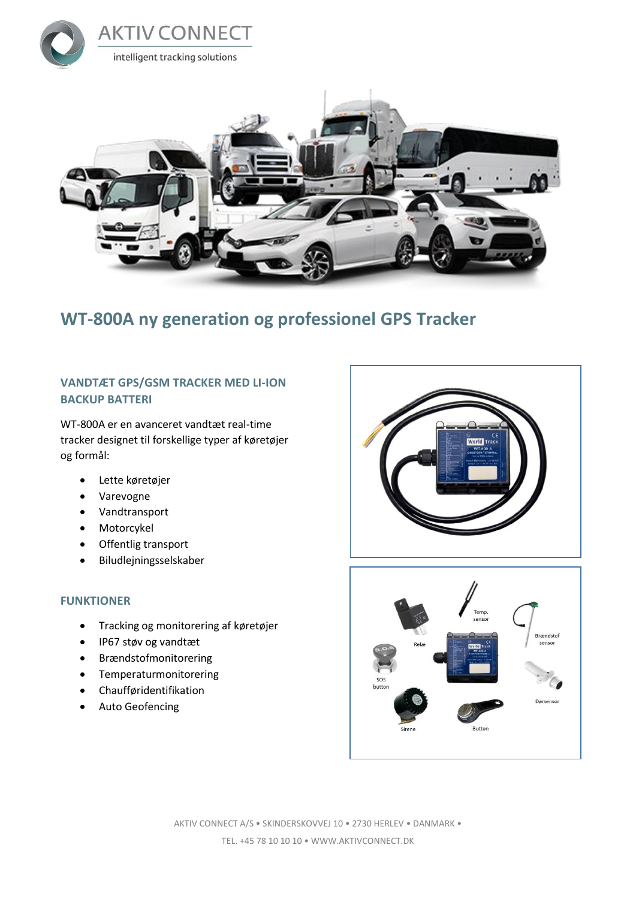



## **WT-800A ny generation og professionel GPS Tracker**

### **VANDTÆT GPS/GSM TRACKER MED LI-ION BACKUP BATTERI**

WT-800A er en avanceret vandtæt real-time tracker designet til forskellige typer af køretøjer og formål:

- Lette køretøjer
- Varevogne
- Vandtransport
- Motorcykel
- Offentlig transport
- Biludlejningsselskaber

#### **FUNKTIONER**

- Tracking og monitorering af køretøjer
- IP67 støv og vandtæt
- Brændstofmonitorering
- Temperaturmonitorering
- Chaufføridentifikation
- Auto Geofencing